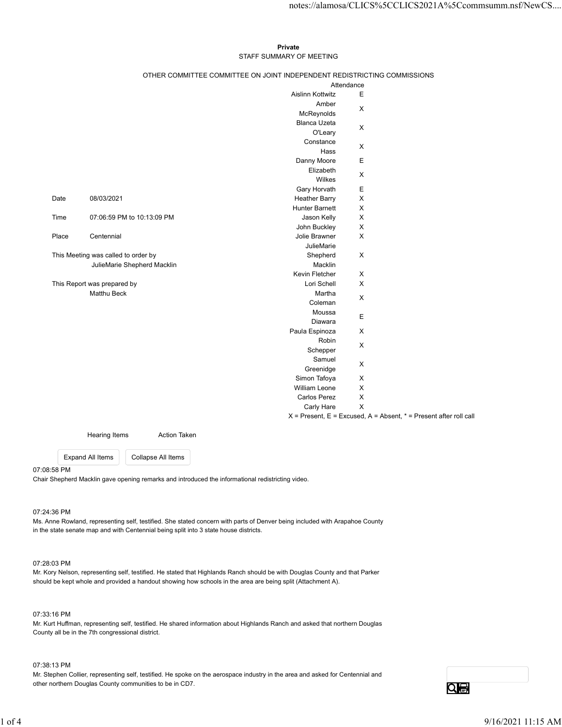## Private **Private** and *Private* and *Private* and *Private* and *Private* and *Private* and *Private* and *Private* and *Private* and *Private* and *Private* and *Private* and *Private* and *Private* and *Private* and *Pri* STAFF SUMMARY OF MEETING

|                                     |                             |                             |                                                                          |                             | notes://alamosa/CLICS%5CCLICS2021A%5Ccommsumm.nsf/NewCS                   |
|-------------------------------------|-----------------------------|-----------------------------|--------------------------------------------------------------------------|-----------------------------|---------------------------------------------------------------------------|
|                                     |                             |                             |                                                                          |                             |                                                                           |
|                                     |                             |                             | Private                                                                  |                             |                                                                           |
|                                     |                             |                             | STAFF SUMMARY OF MEETING                                                 |                             |                                                                           |
|                                     |                             |                             | OTHER COMMITTEE COMMITTEE ON JOINT INDEPENDENT REDISTRICTING COMMISSIONS | Attendance                  |                                                                           |
|                                     |                             |                             | Aislinn Kottwitz                                                         | E                           |                                                                           |
|                                     |                             |                             | Amber                                                                    | $\mathsf{X}$                |                                                                           |
|                                     |                             |                             | McReynolds                                                               |                             |                                                                           |
|                                     |                             |                             | Blanca Uzeta<br>O'Leary                                                  | $\boldsymbol{\mathsf{X}}$   |                                                                           |
|                                     |                             |                             | Constance                                                                |                             |                                                                           |
|                                     |                             |                             | Hass                                                                     | $\mathsf{X}$                |                                                                           |
|                                     |                             |                             | Danny Moore                                                              | $\mathsf E$                 |                                                                           |
|                                     |                             |                             | Elizabeth<br>Wilkes                                                      | X                           |                                                                           |
|                                     |                             |                             | Gary Horvath                                                             | Е                           |                                                                           |
| Date                                | 08/03/2021                  |                             | <b>Heather Barry</b>                                                     | $\mathsf X$                 |                                                                           |
|                                     |                             |                             | <b>Hunter Barnett</b>                                                    | $\mathsf{X}$                |                                                                           |
| Time                                |                             | 07:06:59 PM to 10:13:09 PM  | Jason Kelly<br>John Buckley                                              | $\mathsf{X}$<br>$\mathsf X$ |                                                                           |
| Place                               | Centennial                  |                             | Jolie Brawner                                                            | $\mathsf X$                 |                                                                           |
|                                     |                             |                             | JulieMarie                                                               |                             |                                                                           |
| This Meeting was called to order by |                             |                             | Shepherd                                                                 | $\mathsf X$                 |                                                                           |
|                                     |                             | JulieMarie Shepherd Macklin | Macklin                                                                  |                             |                                                                           |
|                                     | This Report was prepared by |                             | Kevin Fletcher<br>Lori Schell                                            | $\mathsf{X}$<br>$\mathsf X$ |                                                                           |
| Matthu Beck                         |                             |                             | Martha                                                                   |                             |                                                                           |
|                                     |                             |                             | Coleman                                                                  | $\mathsf X$                 |                                                                           |
|                                     |                             |                             | Moussa                                                                   | E                           |                                                                           |
|                                     |                             |                             | Diawara<br>Paula Espinoza                                                | $\mathsf X$                 |                                                                           |
|                                     |                             |                             | Robin                                                                    |                             |                                                                           |
|                                     |                             |                             | Schepper                                                                 | $\mathsf X$                 |                                                                           |
|                                     |                             |                             | Samuel                                                                   | $\mathsf X$                 |                                                                           |
|                                     |                             |                             | Greenidge<br>Simon Tafoya                                                | $\mathsf X$                 |                                                                           |
|                                     |                             |                             | William Leone                                                            | $\mathsf X$                 |                                                                           |
|                                     |                             |                             | Carlos Perez                                                             | $\mathsf X$                 |                                                                           |
|                                     |                             |                             | Carly Hare                                                               | $\mathsf X$                 |                                                                           |
|                                     |                             |                             |                                                                          |                             | $X =$ Present, $E =$ Excused, $A =$ Absent, $* =$ Present after roll call |
|                                     | <b>Hearing Items</b>        | <b>Action Taken</b>         |                                                                          |                             |                                                                           |
|                                     | <b>Expand All Items</b>     | Collapse All Items          |                                                                          |                             |                                                                           |
|                                     |                             |                             |                                                                          |                             |                                                                           |

07:08:58 PM

Chair Shepherd Macklin gave opening remarks and introduced the informational redistricting video.

## 07:24:36 PM

Ms. Anne Rowland, representing self, testified. She stated concern with parts of Denver being included with Arapahoe County in the state senate map and with Centennial being split into 3 state house districts. 07 24:36 PM<br>M. Amor Rowand, representing self, testified. She stated concern with parts of Deweer being included with Arapahoe County<br>In the state sensite map and with Centennial being split into 3 state house districts.<br>M

#### 07:28:03 PM

Mr. Kory Nelson, representing self, testified. He stated that Highlands Ranch should be with Douglas County and that Parker should be kept whole and provided a handout showing how schools in the area are being split (Attachment A).

### 07:33:16 PM

Mr. Kurt Huffman, representing self, testified. He shared information about Highlands Ranch and asked that northern Douglas County all be in the 7th congressional district.

### 07:38:13 PM

Mr. Stephen Collier, representing self, testified. He spoke on the aerospace industry in the area and asked for Centennial and other northern Douglas County communities to be in CD7.

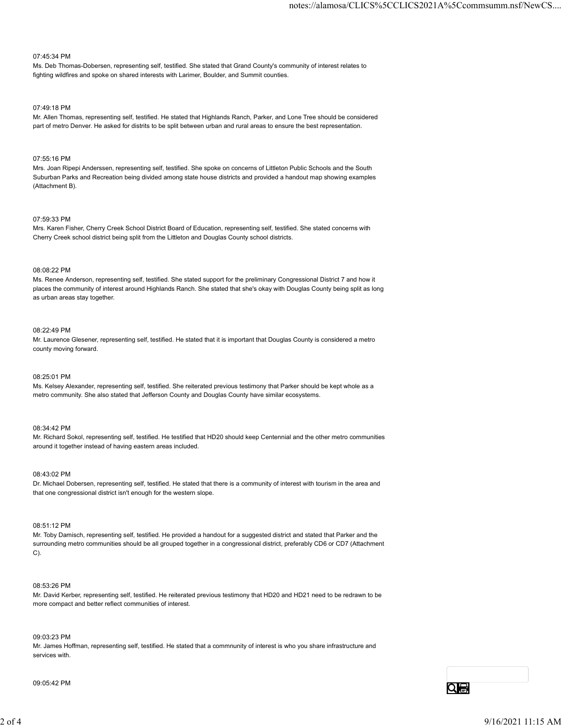#### 07:45:34 PM

Ms. Deb Thomas-Dobersen, representing self, testified. She stated that Grand County's community of interest relates to fighting wildfires and spoke on shared interests with Larimer, Boulder, and Summit counties.

#### 07:49:18 PM

Mr. Allen Thomas, representing self, testified. He stated that Highlands Ranch, Parker, and Lone Tree should be considered part of metro Denver. He asked for distrits to be split between urban and rural areas to ensure the best representation.

#### 07:55:16 PM

Mrs. Joan Ripepi Anderssen, representing self, testified. She spoke on concerns of Littleton Public Schools and the South Suburban Parks and Recreation being divided among state house districts and provided a handout map showing examples (Attachment B).

#### 07:59:33 PM

Mrs. Karen Fisher, Cherry Creek School District Board of Education, representing self, testified. She stated concerns with Cherry Creek school district being split from the Littleton and Douglas County school districts.

#### 08:08:22 PM

Ms. Renee Anderson, representing self, testified. She stated support for the preliminary Congressional District 7 and how it places the community of interest around Highlands Ranch. She stated that she's okay with Douglas County being split as long as urban areas stay together.

#### 08:22:49 PM

Mr. Laurence Glesener, representing self, testified. He stated that it is important that Douglas County is considered a metro county moving forward.

#### 08:25:01 PM

Ms. Kelsey Alexander, representing self, testified. She reiterated previous testimony that Parker should be kept whole as a metro community. She also stated that Jefferson County and Douglas County have similar ecosystems.

#### 08:34:42 PM

Mr. Richard Sokol, representing self, testified. He testified that HD20 should keep Centennial and the other metro communities around it together instead of having eastern areas included.

#### 08:43:02 PM

Dr. Michael Dobersen, representing self, testified. He stated that there is a community of interest with tourism in the area and that one congressional district isn't enough for the western slope.

#### 08:51:12 PM

Mr. Toby Damisch, representing self, testified. He provided a handout for a suggested district and stated that Parker and the surrounding metro communities should be all grouped together in a congressional district, preferably CD6 or CD7 (Attachment C). Liv. Machael Licenstein, representing and, leading 1:1 the state that too required that there is a community of interest with isomation the sets and the that one congressional district in the system slope.<br>
208:51:2 PM<br>
M

#### 08:53:26 PM

Mr. David Kerber, representing self, testified. He reiterated previous testimony that HD20 and HD21 need to be redrawn to be more compact and better reflect communities of interest.

#### 09:03:23 PM

Mr. James Hoffman, representing self, testified. He stated that a commnunity of interest is who you share infrastructure and services with.

09:05:42 PM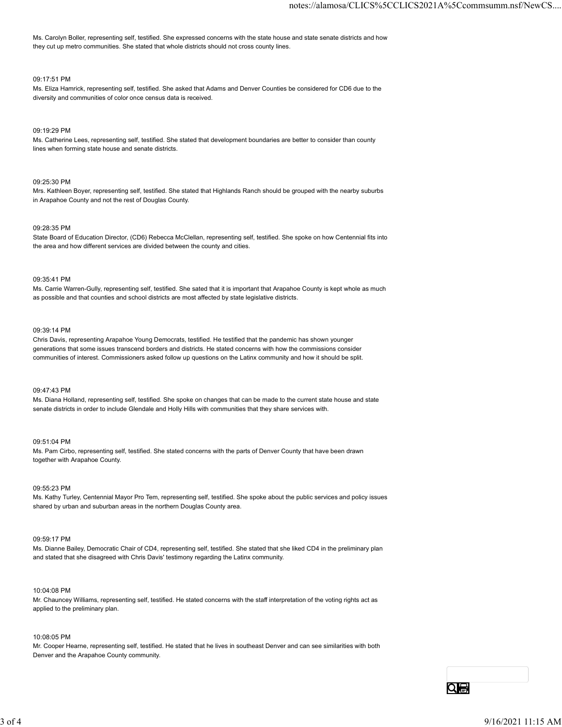Ms. Carolyn Boller, representing self, testified. She expressed concerns with the state house and state senate districts and how they cut up metro communities. She stated that whole districts should not cross county lines.

### 09:17:51 PM

Ms. Eliza Hamrick, representing self, testified. She asked that Adams and Denver Counties be considered for CD6 due to the diversity and communities of color once census data is received.

### 09:19:29 PM

Ms. Catherine Lees, representing self, testified. She stated that development boundaries are better to consider than county lines when forming state house and senate districts.

### 09:25:30 PM

Mrs. Kathleen Boyer, representing self, testified. She stated that Highlands Ranch should be grouped with the nearby suburbs in Arapahoe County and not the rest of Douglas County.

### 09:28:35 PM

State Board of Education Director, (CD6) Rebecca McClellan, representing self, testified. She spoke on how Centennial fits into the area and how different services are divided between the county and cities.

### 09:35:41 PM

Ms. Carrie Warren-Gully, representing self, testified. She sated that it is important that Arapahoe County is kept whole as much as possible and that counties and school districts are most affected by state legislative districts.

#### 09:39:14 PM

Chris Davis, representing Arapahoe Young Democrats, testified. He testified that the pandemic has shown younger generations that some issues transcend borders and districts. He stated concerns with how the commissions consider communities of interest. Commissioners asked follow up questions on the Latinx community and how it should be split.

### 09:47:43 PM

Ms. Diana Holland, representing self, testified. She spoke on changes that can be made to the current state house and state senate districts in order to include Glendale and Holly Hills with communities that they share services with.

#### 09:51:04 PM

Ms. Pam Cirbo, representing self, testified. She stated concerns with the parts of Denver County that have been drawn together with Arapahoe County.

09:55:23 PM

Ms. Kathy Turley, Centennial Mayor Pro Tem, representing self, testified. She spoke about the public services and policy issues shared by urban and suburban areas in the northern Douglas County area.

#### 09:59:17 PM

Ms. Dianne Bailey, Democratic Chair of CD4, representing self, testified. She stated that she liked CD4 in the preliminary plan and stated that she disagreed with Chris Davis' testimony regarding the Latinx community.

#### 10:04:08 PM

Mr. Chauncey Williams, representing self, testified. He stated concerns with the staff interpretation of the voting rights act as applied to the preliminary plan. 06.5525 PM<br>Ms. Kally Turley, Centerwisi Mayor Pro Tern, representing self, lestified. She spoke about the public services and policy issues<br>thand by urbins and solutions areas in the northern Douglas County area.<br>20256: TP

#### 10:08:05 PM

Mr. Cooper Hearne, representing self, testified. He stated that he lives in southeast Denver and can see similarities with both Denver and the Arapahoe County community.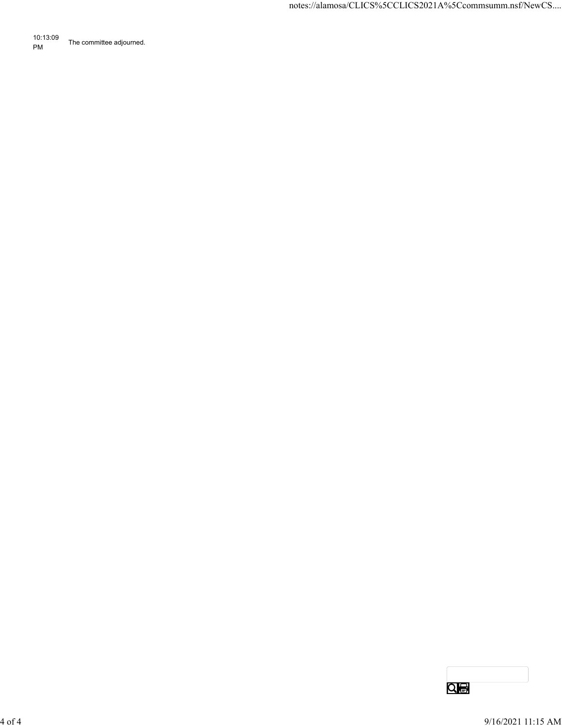10:13:09 PM The committee adjourned.

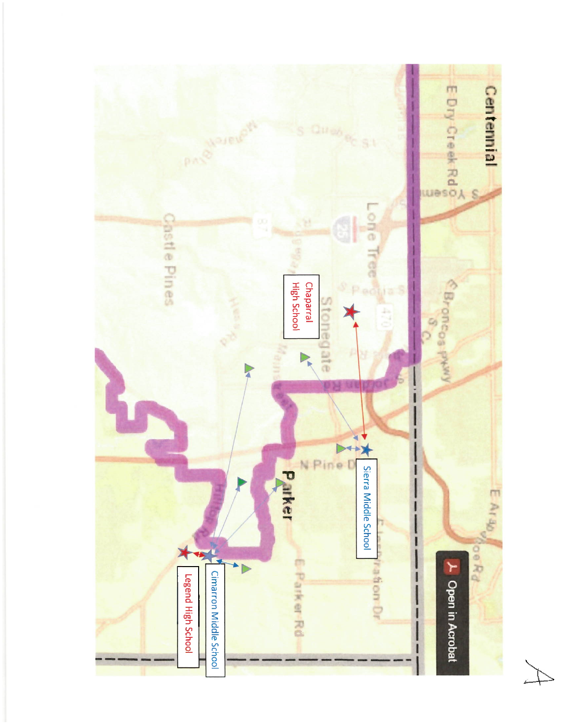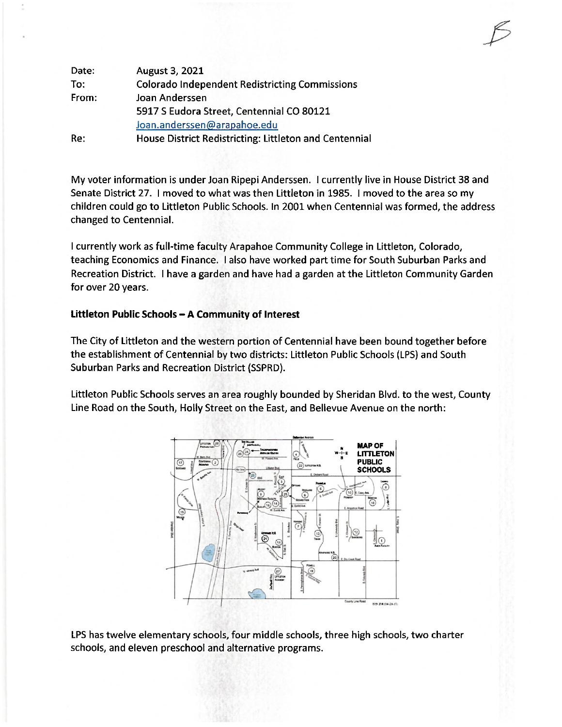My voter information is under Joan Ripepi Anderssen. I currently live in House District 38 and Senate District 27. I moved to what was then Littleton in 1985. I moved to the area so my children could go to Littleton Public Schools. In 2001 when Centennial was formed, the address changed to Centennial.

I currently work as full-time faculty Arapahoe Community College in Littleton, Colorado, teaching Economics and Finance. I also have worked part time for South Suburban Parks and Recreation District. I have a garden and have had a garden at the Littleton Community Garden for over 20 years.

# Littleton Public Schools - A Community of Interest

The City of Littleton and the western portion of Centennial have been bound together before the establishment of Centennial by two districts: Littleton Public Schools (LPS) and South Suburban Parks and Recreation District (SSPRD).

Littleton Public Schools serves an area roughly bounded by Sheridan Blvd. to the west, County Line Road on the South, Holly Street on the East, and Bellevue Avenue on the north:



LPS has twelve elementary schools, four middle schools, three high schools, two charter schools, and eleven preschool and alternative programs.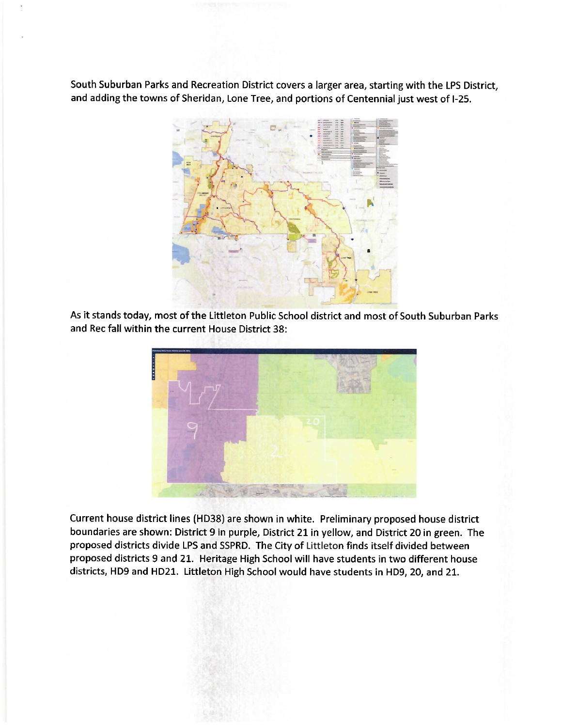South Suburban Parks and Recreation District covers a larger area, starting with the LPS District, and adding the towns of Sheridan, Lone Tree, and portions of Centennial just west of I-25.



As it stands today, most of the Littleton Public School district and most of South Suburban Parks and Rec fall within the current House District 38:



Current house district lines (HD38) are shown in white. Preliminary proposed house district boundaries are shown: District 9 in purple, District 21 in yellow, and District 20 in green. The proposed districts divide LPS and SSPRD. The City of Littleton finds itself divided between proposed districts 9 and 21. Heritage High School will have students in two different house districts, HD9 and HD21. Littleton High School would have students in HD9, 20, and 21.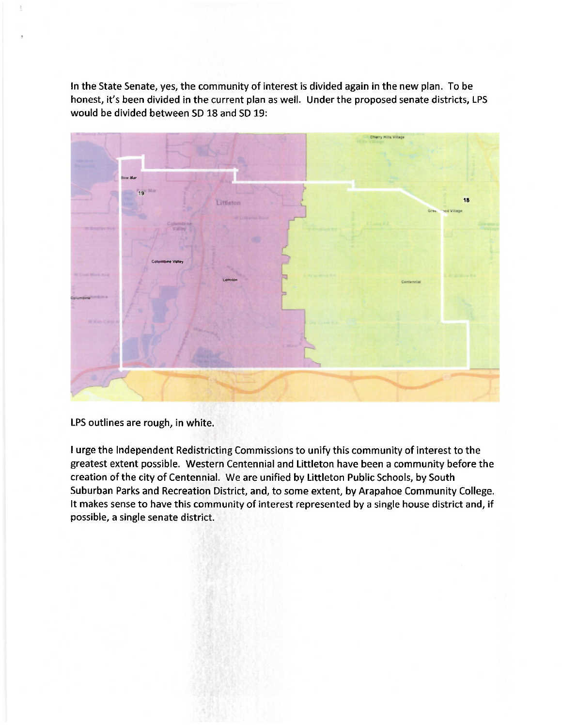In the State Senate, yes, the community of interest is divided again in the new plan. To be honest, it's been divided in the current plan as well. Under the proposed senate districts, LPS would be divided between SD 18 and SD 19:



LPS outlines are rough, in white.

I urge the Independent Redistricting Commissions to unify this community of interest to the greatest extent possible. Western Centennial and Littleton have been a community before the creation of the city of Centennial. We are unified by Littleton Public Schools, by South Suburban Parks and Recreation District, and, to some extent, by Arapahoe Community College. It makes sense to have this community of interest represented by a single house district and, if possible, a single senate district.